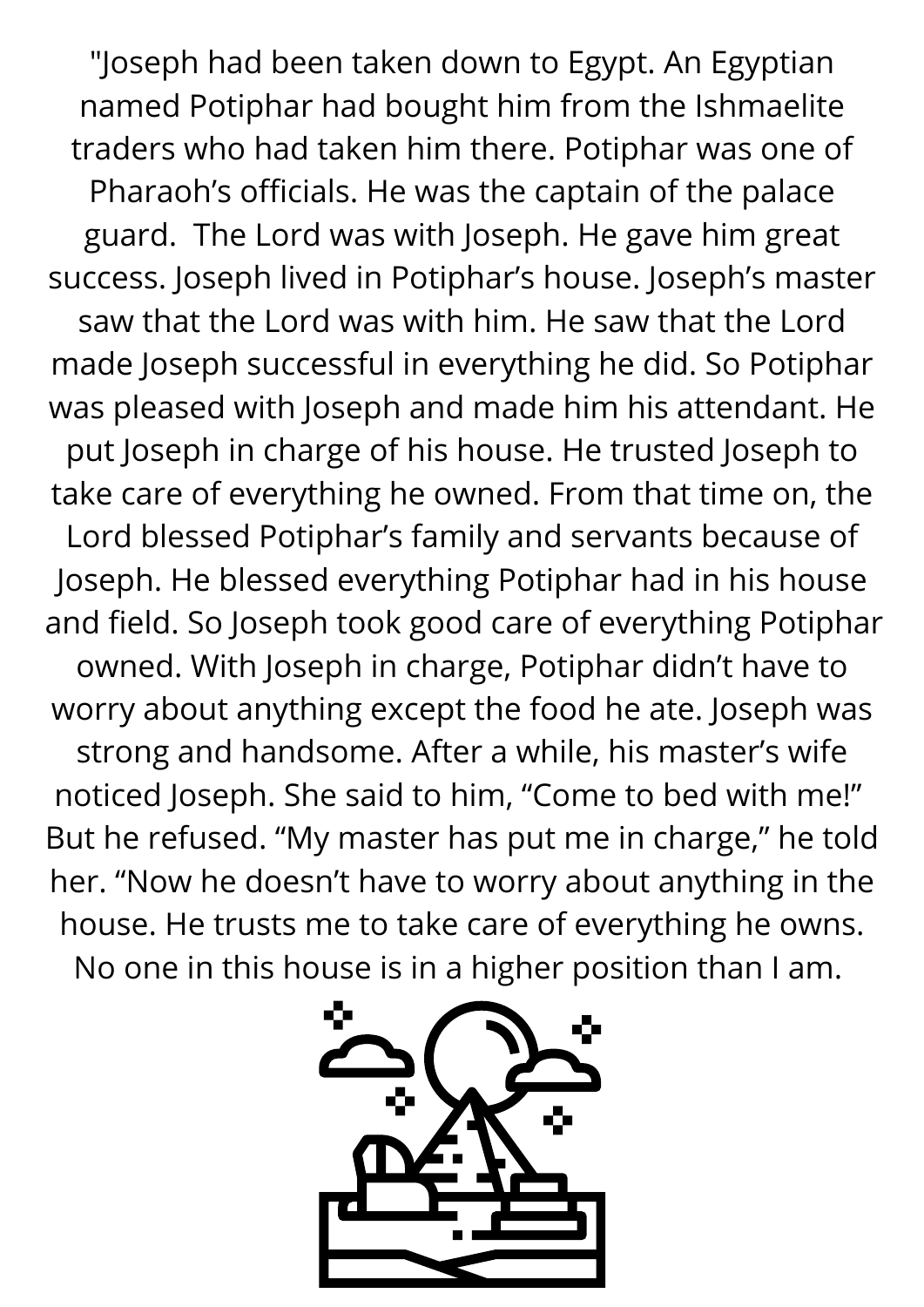"Joseph had been taken down to Egypt. An Egyptian named Potiphar had bought him from the Ishmaelite traders who had taken him there. Potiphar was one of Pharaoh's officials. He was the captain of the palace guard. The Lord was with Joseph. He gave him great success. Joseph lived in Potiphar's house. Joseph's master saw that the Lord was with him. He saw that the Lord made Joseph successful in everything he did. So Potiphar was pleased with Joseph and made him his attendant. He put Joseph in charge of his house. He trusted Joseph to take care of everything he owned. From that time on, the Lord blessed Potiphar's family and servants because of Joseph. He blessed everything Potiphar had in his house and field. So Joseph took good care of everything Potiphar owned. With Joseph in charge, Potiphar didn't have to worry about anything except the food he ate. Joseph was strong and handsome. After a while, his master's wife noticed Joseph. She said to him, "Come to bed with me!" But he refused. "My master has put me in charge, " he told her. "Now he doesn't have to worry about anything in the house. He trusts me to take care of everything he owns. No one in this house is in a higher position than I am.

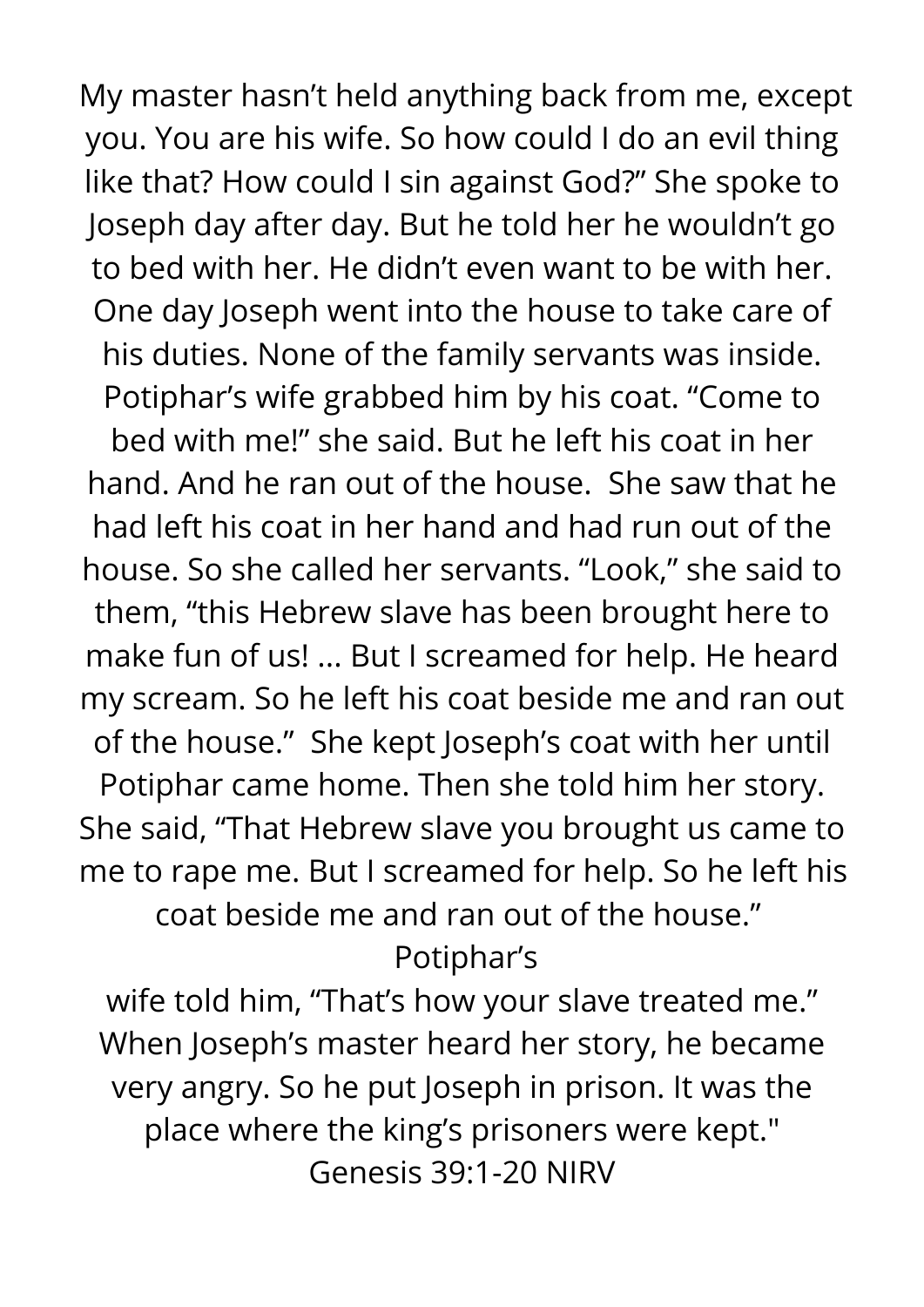My master hasn't held anything back from me, except you. You are his wife. So how could I do an evil thing like that? How could I sin against God?" She spoke to Joseph day after day. But he told her he wouldn't go to bed with her. He didn't even want to be with her. One day Joseph went into the house to take care of his duties. None of the family servants was inside. Potiphar's wife grabbed him by his coat. "Come to bed with me!" she said. But he left his coat in her hand. And he ran out of the house. She saw that he had left his coat in her hand and had run out of the house. So she called her servants. "Look, " she said to them, "this Hebrew slave has been brought here to make fun of us! ... But I screamed for help. He heard my scream. So he left his coat beside me and ran out of the house." She kept Joseph's coat with her until Potiphar came home. Then she told him her story. She said, "That Hebrew slave you brought us came to me to rape me. But I screamed for help. So he left his coat beside me and ran out of the house." Potiphar's

wife told him, "That's how your slave treated me." When Joseph's master heard her story, he became very angry. So he put Joseph in prison. It was the place where the king's prisoners were kept." Genesis 39:1-20 NIRV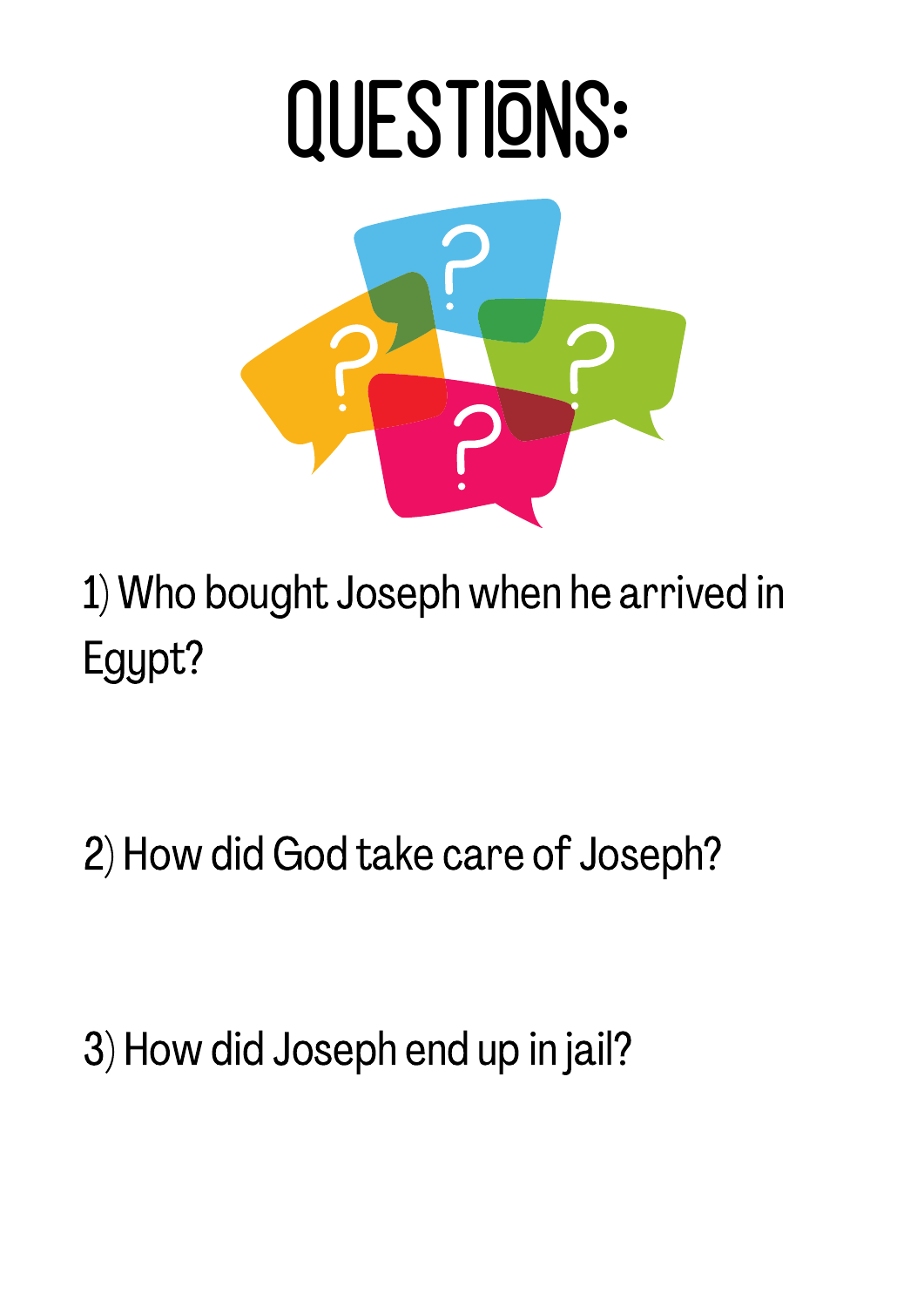## QUESTIONS:



## 1) Who bought Joseph when he arrived in Egypt?

## 2) How did God take care of Joseph?

3) How did Joseph end up in jail?